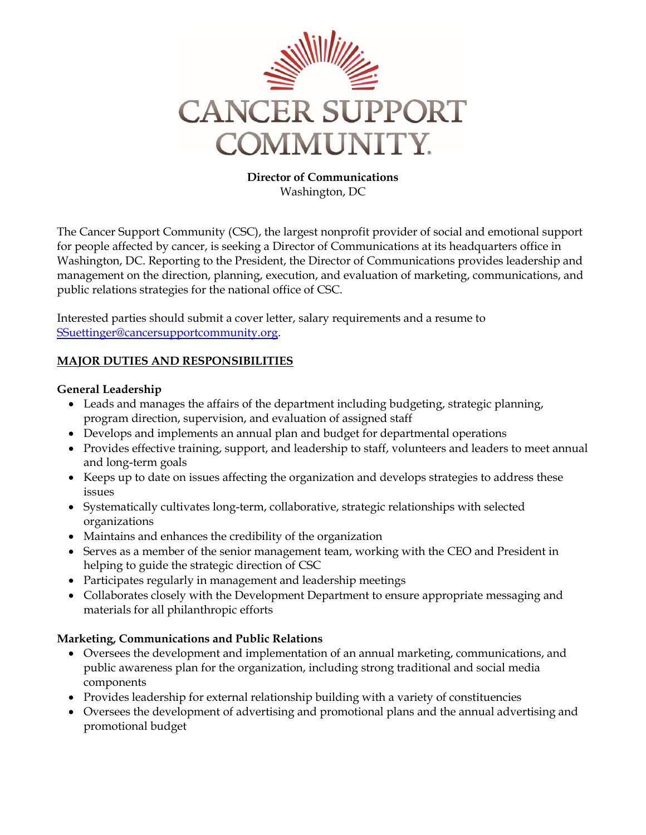

**Director of Communications** Washington, DC

The Cancer Support Community (CSC), the largest nonprofit provider of social and emotional support for people affected by cancer, is seeking a Director of Communications at its headquarters office in Washington, DC. Reporting to the President, the Director of Communications provides leadership and management on the direction, planning, execution, and evaluation of marketing, communications, and public relations strategies for the national office of CSC.

Interested parties should submit a cover letter, salary requirements and a resume to [SSuettinger@cancersupportcommunity.org.](mailto:SSuettinger@cancersupportcommunity.org)

## **MAJOR DUTIES AND RESPONSIBILITIES**

## **General Leadership**

- Leads and manages the affairs of the department including budgeting, strategic planning, program direction, supervision, and evaluation of assigned staff
- Develops and implements an annual plan and budget for departmental operations
- Provides effective training, support, and leadership to staff, volunteers and leaders to meet annual and long-term goals
- Keeps up to date on issues affecting the organization and develops strategies to address these issues
- Systematically cultivates long-term, collaborative, strategic relationships with selected organizations
- Maintains and enhances the credibility of the organization
- Serves as a member of the senior management team, working with the CEO and President in helping to guide the strategic direction of CSC
- Participates regularly in management and leadership meetings
- Collaborates closely with the Development Department to ensure appropriate messaging and materials for all philanthropic efforts

# **Marketing, Communications and Public Relations**

- Oversees the development and implementation of an annual marketing, communications, and public awareness plan for the organization, including strong traditional and social media components
- Provides leadership for external relationship building with a variety of constituencies
- Oversees the development of advertising and promotional plans and the annual advertising and promotional budget